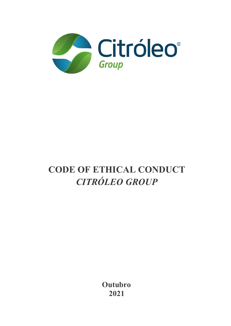

# **CODE OF ETHICAL CONDUCT** *CITRÓLEO GROUP*

**Outubro 2021**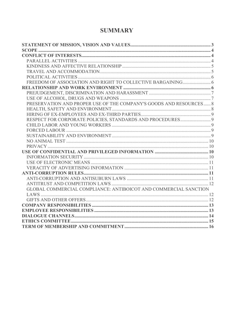## **SUMMARY**

| PRESERVATION AND PROPER USE OF THE COMPANY'S GOODS AND RESOURCES 8 |  |
|--------------------------------------------------------------------|--|
|                                                                    |  |
|                                                                    |  |
| RESPECT FOR CORPORATE POLICIES, STANDARDS AND PROCEDURES 9         |  |
|                                                                    |  |
|                                                                    |  |
|                                                                    |  |
|                                                                    |  |
|                                                                    |  |
|                                                                    |  |
|                                                                    |  |
|                                                                    |  |
|                                                                    |  |
|                                                                    |  |
|                                                                    |  |
|                                                                    |  |
| GLOBAL COMMERCIAL COMPLIANCE: ANTIBOICOT AND COMMERCIAL SANCTION   |  |
|                                                                    |  |
|                                                                    |  |
|                                                                    |  |
|                                                                    |  |
|                                                                    |  |
|                                                                    |  |
|                                                                    |  |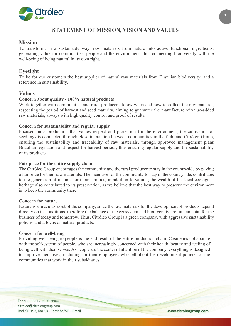

## **STATEMENT OF MISSION, VISION AND VALUES**

## <span id="page-2-0"></span>**Mission**

To transform, in a sustainable way, raw materials from nature into active functional ingredients, generating value for communities, people and the environment, thus connecting biodiversity with the well-being of being natural in its own right.

## **Eyesight**

To be for our customers the best supplier of natural raw materials from Brazilian biodiversity, and a reference in sustainability.

## **Values**

#### **Concern about quality - 100% natural products**

Work together with communities and rural producers, know when and how to collect the raw material, respecting the period of harvest and seed maturity, aiming to guarantee the manufacture of value-added raw materials, always with high quality control and proof of results.

#### **Concern for sustainability and regular supply**

Focused on a production that values respect and protection for the environment, the cultivation of seedlings is conducted through close interaction between communities in the field and Citróleo Group, ensuring the sustainability and traceability of raw materials, through approved management plans Brazilian legislation and respect for harvest periods, thus ensuring regular supply and the sustainability of its products.

#### **Fair price for the entire supply chain**

The Citróleo Group encourages the community and the rural producer to stay in the countryside by paying a fair price for their raw materials. The incentive for the community to stay in the countryside, contributes to the generation of income for their families, in addition to valuing the wealth of the local ecological heritage also contributed to its preservation, as we believe that the best way to preserve the environment is to keep the community there.

#### **Concern for nature**

Nature is a precious asset of the company, since the raw materials for the development of products depend directly on its conditions, therefore the balance of the ecosystem and biodiversity are fundamental for the business of today and tomorrow. Thus, Citróleo Group is a green company, with aggressive sustainability policies and a focus on natural products.

#### **Concern for well-being**

Providing well-being to people is the end result of the entire production chain. Cosmetics collaborate with the self-esteem of people, who are increasingly concerned with their health, beauty and feeling of being well with themselves. As people are the center of attention of the company, everything is designed to improve their lives, including for their employees who tell about the development policies of the communities that work in their subsidiaries.

Fone: + (55) 14 3656-9900 citroleo@citroleogroup.com Rod. SP 197, Km 18 - Torrinha/SP - Brasil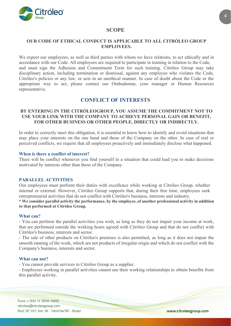

## **SCOPE**

## <span id="page-3-0"></span>**OUR CODE OF ETHICAL CONDUCT IS APPLICABLE TO ALL CITRÓLEO GROUP EMPLOYEES.**

We expect our employees, as well as third parties with whom we have relations, to act ethically and in accordance with our Code. All employees are required to participate in training in relation to the Code, and must sign the Adhesion and Commitment Term for such training. Citróleo Group may take disciplinary action, including termination or dismissal, against any employee who violates the Code, Citróleo's policies or any law, or acts in an unethical manner. In case of doubt about the Code or the appropriate way to act, please contact our Ombudsman, your manager or Human Resources representative.

## **CONFLICT OF INTERESTS**

## <span id="page-3-1"></span>**BY ENTERING IN THE CITRÓLEOGROUP, YOU ASSUME THE COMMITMENT NOT TO USE YOUR LINK WITH THE COMPANY TO ACHIEVE PERSONAL GAIN OR BENEFIT, FOR OTHER BUSINESS OR OTHER PEOPLE, DIRECTLY OR INDIRECTLY.**

In order to correctly meet this obligation, it is essential to know how to identify and avoid situations that may place your interests on the one hand and those of the Company on the other. In case of real or perceived conflicts, we require that all employees proactively and immediately disclose what happened.

#### **When is there a conflict of interest?**

There will be conflict whenever you find yourself in a situation that could lead you to make decisions motivated by interests other than those of the Company.

#### <span id="page-3-2"></span>**PARALLEL ACTIVITIES**

Our employees must perform their duties with excellence while working at Citróleo Group, whether internal or external. However, Citróleo Group supports that, during their free time, employees seek entrepreneurial activities that do not conflict with Citróleo's business, interests and industry.

**\* We consider parallel activity the performance, by the employee, of another professional activity in addition to that performed at Citróleo Group.**

#### **What can?**

- You can perform the parallel activities you wish, as long as they do not impair your income at work, that are performed outside the working hours agreed with Citróleo Group and that do not conflict with Citróleo's business, interests and sector.

- The sale of other products on Citróleo's premises is also permitted, as long as it does not impair the smooth running of the work, which are not products of irregular origin and which do not conflict with the Company's business, interests and sector.

#### **What can not?**

- You cannot provide services to Citróleo Group as a supplier.

- Employees working in parallel activities cannot use their working relationships to obtain benefits from this parallel activity.

Fone: + (55) 14 3656-9900 citroleo@citroleogroup.com Rod. SP 197, Km 18 - Torrinha/SP - Brasil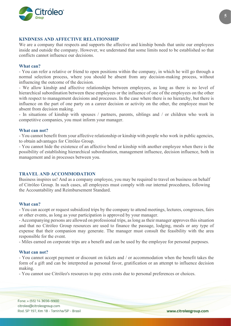

#### <span id="page-4-0"></span>**KINDNESS AND AFFECTIVE RELATIONSHIP**

We are a company that respects and supports the affective and kinship bonds that unite our employees inside and outside the company. However, we understand that some limits need to be established so that conflicts cannot influence our decisions.

#### **What can?**

- You can refer a relative or friend to open positions within the company, in which he will go through a normal selection process, where you should be absent from any decision-making process, without influencing the outcome of the decision.

- We allow kinship and affective relationships between employees, as long as there is no level of hierarchical subordination between these employees or the influence of one of the employees on the other with respect to management decisions and processes. In the case where there is no hierarchy, but there is influence on the part of one party on a career decision or activity on the other, the employee must be absent from decision making.

- In situations of kinship with spouses / partners, parents, siblings and / or children who work in competitive companies, you must inform your manager.

#### **What can not?**

- You cannot benefit from your affective relationship or kinship with people who work in public agencies, to obtain advantages for Citróleo Group.

- You cannot hide the existence of an affective bond or kinship with another employee when there is the possibility of establishing hierarchical subordination, management influence, decision influence, both in management and in processes between you.

#### <span id="page-4-1"></span>**TRAVEL AND ACCOMMODATION**

Business inspires us! And as a company employee, you may be required to travel on business on behalf of Citróleo Group. In such cases, all employees must comply with our internal procedures, following the Accountability and Reimbursement Standard.

#### **What can?**

- You can accept or request subsidized trips by the company to attend meetings, lectures, congresses, fairs or other events, as long as your participation is approved by your manager.

- Accompanying persons are allowed on professional trips, as long as their manager approves this situation and that no Citróleo Group resources are used to finance the passage, lodging, meals or any type of expense that their companion may generate. The manager must consult the feasibility with the area responsible for the event.

- Miles earned on corporate trips are a benefit and can be used by the employee for personal purposes.

#### **What can not?**

- You cannot accept payment or discount on tickets and / or accommodation when the benefit takes the form of a gift and can be interpreted as personal favor, gratification or an attempt to influence decision making.

- You cannot use Citróleo's resources to pay extra costs due to personal preferences or choices.

Fone: + (55) 14 3656-9900 citroleo@citroleogroup.com Rod. SP 197, Km 18 - Torrinha/SP - Brasil **5**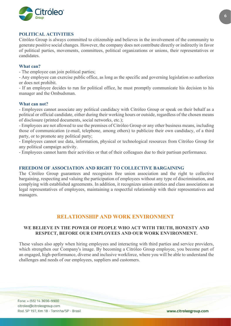

#### <span id="page-5-0"></span>**POLITICAL ACTIVITIES**

Citróleo Group is always committed to citizenship and believes in the involvement of the community to generate positive social changes. However, the company does not contribute directly or indirectly in favor of political parties, movements, committees, political organizations or unions, their representatives or candidates.

#### **What can?**

- The employee can join political parties;

- Any employee can exercise public office, as long as the specific and governing legislation so authorizes or does not prohibit.

- If an employee decides to run for political office, he must promptly communicate his decision to his manager and the Ombudsman.

#### **What can not?**

- Employees cannot associate any political candidacy with Citróleo Group or speak on their behalf as a political or official candidate, either during their working hours or outside, regardless of the chosen means of disclosure (printed documents, social networks, etc.);

- Employees are not allowed to use the premises of Citróleo Group or any other business means, including those of communication (e-mail, telephone, among others) to publicize their own candidacy, of a third party, or to promote any political party;

- Employees cannot use data, information, physical or technological resources from Citróleo Group for any political campaign activity.

- Employees cannot harm their activities or that of their colleagues due to their partisan performance.

#### <span id="page-5-1"></span>**FREEDOM OF ASSOCIATION AND RIGHT TO COLLECTIVE BARGAINING**

The Citróleo Group guarantees and recognizes free union association and the right to collective bargaining, respecting and valuing the participation of employees without any type of discrimination, and complying with established agreements. In addition, it recognizes union entities and class associations as legal representatives of employees, maintaining a respectful relationship with their representatives and managers.

## **RELATIONSHIP AND WORK ENVIRONMENT**

## <span id="page-5-2"></span>**WE BELIEVE IN THE POWER OF PEOPLE WHO ACT WITH TRUTH, HONESTY AND RESPECT, BEFORE OUR EMPLOYEES AND OUR WORK ENVIRONMENT.**

These values also apply when hiring employees and interacting with third parties and service providers, which strengthen our Company's image. By becoming a Citróleo Group employee, you become part of an engaged, high-performance, diverse and inclusive workforce, where you will be able to understand the challenges and needs of our employees, suppliers and customers.

Fone: + (55) 14 3656-9900 citroleo@citroleogroup.com Rod. SP 197, Km 18 - Torrinha/SP - Brasil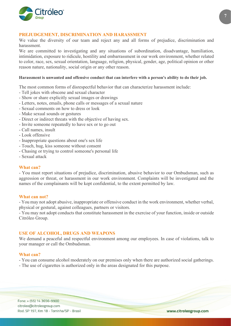

#### <span id="page-6-0"></span>**PREJUDGEMENT, DISCRIMINATION AND HARASSMENT**

We value the diversity of our team and reject any and all forms of prejudice, discrimination and harassment.

We are committed to investigating and any situations of subordination, disadvantage, humiliation, intimidation, exposure to ridicule, hostility and embarrassment in our work environment, whether related to color, race, sex, sexual orientation, language, religion, physical, gender, age, political opinion or other reason nature, nationality, social origin or any other reason.

#### **Harassment is unwanted and offensive conduct that can interfere with a person's ability to do their job.**

The most common forms of disrespectful behavior that can characterize harassment include:

- Tell jokes with obscene and sexual character
- Show or share explicitly sexual images or drawings
- Letters, notes, emails, phone calls or messages of a sexual nature
- Sexual comments on how to dress or look
- Make sexual sounds or gestures
- Direct or indirect threats with the objective of having sex.
- Invite someone repeatedly to have sex or to go out
- Call names, insult
- Look offensive
- Inappropriate questions about one's sex life
- Touch, hug, kiss someone without consent
- Chasing or trying to control someone's personal life
- Sexual attack

#### **What can?**

- You must report situations of prejudice, discrimination, abusive behavior to our Ombudsman, such as aggression or threat, or harassment in our work environment. Complaints will be investigated and the names of the complainants will be kept confidential, to the extent permitted by law.

#### **What can not?**

- You may not adopt abusive, inappropriate or offensive conduct in the work environment, whether verbal, physical or gestural, against colleagues, partners or visitors.

- You may not adopt conducts that constitute harassment in the exercise of your function, inside or outside Citróleo Group.

#### <span id="page-6-1"></span>**USE OF ALCOHOL, DRUGS AND WEAPONS**

We demand a peaceful and respectful environment among our employees. In case of violations, talk to your manager or call the Ombudsman.

#### **What can?**

- You can consume alcohol moderately on our premises only when there are authorized social gatherings.
- The use of cigarettes is authorized only in the areas designated for this purpose.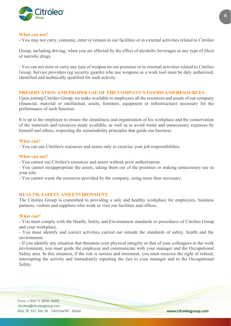

#### **What can not?**

- You may not carry, consume, enter or remain in our facilities or in external activities related to Citróleo

Group, including driving, when you are affected by the effect of alcoholic beverages or any type of illicit or narcotic drugs.

- You can not store or carry any type of weapon on our premises or in external activities related to Citróleo Group. Service providers (eg security guards) who use weapons as a work tool must be duly authorized, identified and technically qualified for such activity.

#### <span id="page-7-0"></span>**PRESERVATION AND PROPER USE OF THE COMPANY'S GOODS AND RESOURCES**

Upon joining Citróleo Group, we make available to employees all the resources and assets of our company (financial, material or intellectual, assets, furniture, equipment or infrastructure) necessary for the performance of each function.

It is up to the employee to ensure the cleanliness and organization of his workplace and the conservation of the materials and resources made available, as well as to avoid waste and unnecessary expenses by himself and others, respecting the sustainability principles that guide our business.

#### **What can?**

- You can use Citróleo's resources and assets only to exercise your job responsibilities.

#### **What can not?**

- You cannot use Citróleo's resources and assets without prior authorization.

- You cannot misappropriate the assets, taking them out of the premises or making unnecessary use in your role.

- You cannot waste the resources provided by the company, using more than necessary.

#### <span id="page-7-1"></span>**HEALTH, SAFETY AND ENVIRONMENT**

The Citróleo Group is committed to providing a safe and healthy workplace for employees, business partners, visitors and suppliers who work or visit our facilities and offices.

#### **What can?**

- You must comply with the Health, Safety and Environment standards or procedures of Citróleo Group and your workplace.

- You must identify and correct activities carried out outside the standards of safety, health and the environment.

- If you identify any situation that threatens your physical integrity or that of your colleagues in the work environment, you must guide the employee and communicate with your manager and the Occupational Safety area. In this situation, if the risk is serious and imminent, you must exercise the right of refusal, interrupting the activity and immediately reporting the fact to your manager and to the Occupational Safety.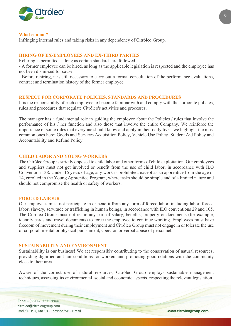

#### **What can not?**

Infringing internal rules and taking risks in any dependency of Citróleo Group.

#### <span id="page-8-0"></span>**HIRING OF EX-EMPLOYEES AND EX-THIRD PARTIES**

Rehiring is permitted as long as certain standards are followed.

- A former employee can be hired, as long as the applicable legislation is respected and the employee has not been dismissed for cause.

- Before rehiring, it is still necessary to carry out a formal consultation of the performance evaluations, contract and termination history of the former employee.

#### <span id="page-8-1"></span>**RESPECT FOR CORPORATE POLICIES, STANDARDS AND PROCEDURES**

It is the responsibility of each employee to become familiar with and comply with the corporate policies, rules and procedures that regulate Citróleo's activities and processes.

The manager has a fundamental role in guiding the employee about the Policies / rules that involve the performance of his / her function and also those that involve the entire Company. We reinforce the importance of some rules that everyone should know and apply in their daily lives, we highlight the most common ones here: Goods and Services Acquisition Policy, Vehicle Use Policy, Student Aid Policy and Accountability and Refund Policy.

#### <span id="page-8-2"></span>**CHILD LABOR AND YOUNG WORKERS**

The Citróleo Group is strictly opposed to child labor and other forms of child exploitation. Our employees and suppliers must not get involved or benefit from the use of child labor, in accordance with ILO Convention 138. Under 16 years of age, any work is prohibited, except as an apprentice from the age of 14, enrolled in the Young Apprentice Program, where tasks should be simple and of a limited nature and should not compromise the health or safety of workers.

#### <span id="page-8-3"></span>**FORCED LABOUR**

Our employees must not participate in or benefit from any form of forced labor, including labor, forced labor, slavery, servitude or trafficking in human beings, in accordance with ILO conventions 29 and 105. The Citróleo Group must not retain any part of salary, benefits, property or documents (for example, identity cards and travel documents) to force the employee to continue working. Employees must have freedom of movement during their employment and Citróleo Group must not engage in or tolerate the use of corporal, mental or physical punishment, coercion or verbal abuse of personnel.

#### <span id="page-8-4"></span>**SUSTAINABILITY AND ENVIRONMENT**

Sustainability is our business! We act responsibly contributing to the conservation of natural resources, providing dignified and fair conditions for workers and promoting good relations with the community close to their area.

Aware of the correct use of natural resources, Citróleo Group employs sustainable management techniques, assessing its environmental, social and economic aspects, respecting the relevant legislation

Fone: + (55) 14 3656-9900 citroleo@citroleogroup.com Rod. SP 197, Km 18 - Torrinha/SP - Brasil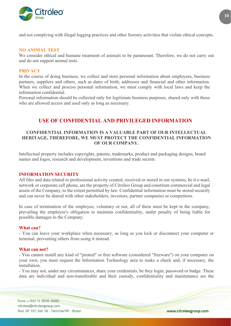

and not complying with illegal logging practices and other forestry activities that violate ethical concepts.

#### <span id="page-9-0"></span>**NO ANIMAL TEST**

We consider ethical and humane treatment of animals to be paramount. Therefore, we do not carry out and do not support animal tests.

#### <span id="page-9-1"></span>**PRIVACY**

In the course of doing business, we collect and store personal information about employees, business partners, suppliers and others, such as dates of birth, addresses and financial and other information. When we collect and process personal information, we must comply with local laws and keep the information confidential.

Personal information should be collected only for legitimate business purposes, shared only with those who are allowed access and used only as long as necessary.

## **USE OF CONFIDENTIAL AND PRIVILEGED INFORMATION**

## <span id="page-9-2"></span>**CONFIDENTIAL INFORMATION IS A VALUABLE PART OF OUR INTELLECTUAL HERITAGE, THEREFORE, WE MUST PROTECT THE CONFIDENTIAL INFORMATION OF OUR COMPANY.**

Intellectual property includes copyrights, patents, trademarks, product and packaging designs, brand names and logos, research and development, inventions and trade secrets.

#### <span id="page-9-3"></span>**INFORMATION SECURITY**

All files and data related to professional activity created, received or stored in our systems, be it e-mail, network or corporate cell phone, are the property of Citróleo Group and constitute commercial and legal assets of the Company, to the extent permitted by law. Confidential information must be stored securely and can never be shared with other stakeholders, investors, partner companies or competitors.

In case of termination of the employee, voluntary or not, all of them must be kept in the company, prevailing the employee's obligation to maintain confidentiality, under penalty of being liable for possible damages to the Company.

#### **What can?**

- You can leave your workplace when necessary, as long as you lock or disconnect your computer or terminal, preventing others from using it instead.

#### **What can not?**

- You cannot install any kind of "pirated" or free software (considered "freeware") on your computer on your own, you must request the Information Technology area to make a check and, if necessary, the installation.

- You may not, under any circumstances, share your credentials, be they login, password or badge. These data are individual and non-transferable and their custody, confidentiality and maintenance are the

Fone: + (55) 14 3656-9900 citroleo@citroleogroup.com Rod. SP 197, Km 18 - Torrinha/SP - Brasil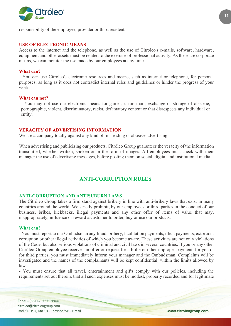

responsibility of the employee, provider or third resident.

#### <span id="page-10-0"></span>**USE OF ELECTRONIC MEANS**

Access to the internet and the telephone, as well as the use of Citróleo's e-mails, software, hardware, equipment and other assets must be related to the exercise of professional activity. As these are corporate means, we can monitor the use made by our employees at any time.

#### **What can?**

- You can use Citróleo's electronic resources and means, such as internet or telephone, for personal purposes, as long as it does not contradict internal rules and guidelines or hinder the progress of your work.

#### **What can not?**

- You may not use our electronic means for games, chain mail, exchange or storage of obscene, pornographic, violent, discriminatory, racist, defamatory content or that disrespects any individual or entity.

#### <span id="page-10-1"></span>**VERACITY OF ADVERTISING INFORMATION**

We are a company totally against any kind of misleading or abusive advertising.

When advertising and publicizing our products, Citróleo Group guarantees the veracity of the information transmitted, whether written, spoken or in the form of images. All employees must check with their manager the use of advertising messages, before posting them on social, digital and institutional media.

## **ANTI-CORRUPTION RULES**

#### <span id="page-10-3"></span><span id="page-10-2"></span>**ANTI-CORRUPTION AND ANTISUBURN LAWS**

The Citróleo Group takes a firm stand against bribery in line with anti-bribery laws that exist in many countries around the world. We strictly prohibit, by our employees or third parties in the conduct of our business, bribes, kickbacks, illegal payments and any other offer of items of value that may, inappropriately, influence or reward a customer to order, buy or use our products.

#### **What can?**

- You must report to our Ombudsman any fraud, bribery, facilitation payments, illicit payments, extortion, corruption or other illegal activities of which you become aware. These activities are not only violations of the Code, but also serious violations of criminal and civil laws in several countries. If you or any other Citróleo Group employee receives an offer or request for a bribe or other improper payment, for you or for third parties, you must immediately inform your manager and the Ombudsman. Complaints will be investigated and the names of the complainants will be kept confidential, within the limits allowed by law.

- You must ensure that all travel, entertainment and gifts comply with our policies, including the requirements set out therein, that all such expenses must be modest, properly recorded and for legitimate

Fone: + (55) 14 3656-9900 citroleo@citroleogroup.com Rod. SP 197, Km 18 - Torrinha/SP - Brasil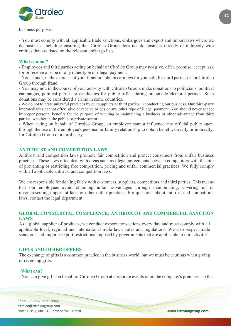

business purposes.

- You must comply with all applicable trade sanctions, embargoes and export and import laws where we do business, including ensuring that Citróleo Group does not do business directly or indirectly with entities that are listed on the relevant embargo lists.

#### **What can not?**

- Employees and third parties acting on behalf of Citróleo Group may not give, offer, promise, accept, ask for or receive a bribe or any other type of illegal payment.

- You cannot, in the exercise of your function, obtain earnings for yourself, for third parties or for Citróleo Group through fraud.

- You may not, in the course of your activity with Citróleo Group, make donations to politicians, political campaigns, political parties or candidates for public office during or outside electoral periods. Such donations may be considered a crime in some countries.

- We do not tolerate unlawful practices by our suppliers or third parties in conducting our business. Our third-party intermediaries cannot offer, give or receive bribes or any other type of illegal payment. You should never accept improper personal benefits for the purpose of winning or maintaining a business or other advantage from third parties, whether in the public or private sector.

- When acting on behalf of Citróleo Group, an employee cannot influence any official public agent through the use of the employee's personal or family relationship to obtain benefit, directly or indirectly, for Citróleo Group or a third party.

#### <span id="page-11-0"></span>**ANTITRUST AND COMPETITION LAWS**

Antitrust and competition laws promote fair competition and protect consumers from unfair business practices. These laws often deal with areas such as illegal agreements between competitors with the aim of preventing or restricting free competition, pricing and unfair commercial practices. We fully comply with all applicable antitrust and competition laws.

We are responsible for dealing fairly with customers, suppliers, competitors and third parties. This means that our employees avoid obtaining unfair advantages through manipulating, covering up or misrepresenting important facts or other unfair practices. For questions about antitrust and competition laws, contact the legal department.

#### <span id="page-11-1"></span>**GLOBAL COMMERCIAL COMPLIANCE: ANTIBOICOT AND COMMERCIAL SANCTION LAWS**

As a global supplier of products, we conduct export transactions every day and must comply with all applicable local, regional and international trade laws, rules and regulations. We also respect trade sanctions and import / export restrictions imposed by governments that are applicable to our activities.

#### <span id="page-11-2"></span>**GIFTS AND OTHER OFFERS**

The exchange of gifts is a common practice in the business world, but we must be cautious when giving or receiving gifts.

#### **What can?**

- You can give gifts on behalf of Citróleo Group at corporate events or on the company's premises, so that

Fone: + (55) 14 3656-9900 citroleo@citroleogroup.com Rod. SP 197, Km 18 - Torrinha/SP - Brasil **12**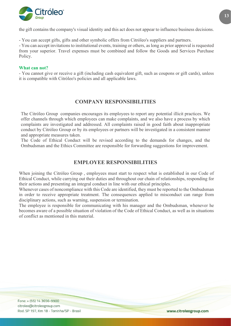

the gift contains the company's visual identity and this act does not appear to influence business decisions.

- You can accept gifts, gifts and other symbolic offers from Citróleo's suppliers and partners.

- You can accept invitations to institutional events, training or others, as long as prior approval is requested from your superior. Travel expenses must be combined and follow the Goods and Services Purchase Policy.

#### **What can not?**

- You cannot give or receive a gift (including cash equivalent gift, such as coupons or gift cards), unless it is compatible with Citróleo's policies and all applicable laws.

## **COMPANY RESPONSIBILITIES**

<span id="page-12-0"></span>The Citróleo Group companies encourages its employees to report any potential illicit practices. We offer channels through which employees can make complaints, and we also have a process by which complaints are investigated and addressed. All complaints raised in good faith about inappropriate conduct by Citróleo Group or by its employees or partners will be investigated in a consistent manner and appropriate measures taken.

The Code of Ethical Conduct will be revised according to the demands for changes, and the Ombudsman and the Ethics Committee are responsible for forwarding suggestions for improvement.

## **EMPLOYEE RESPONSIBILITIES**

<span id="page-12-1"></span>When joining the Citróleo Group , employees must start to respect what is established in our Code of Ethical Conduct, while carrying out their duties and throughout our chain of relationships, responding for their actions and presenting an integral conduct in line with our ethical principles.

Whenever cases of noncompliance with this Code are identified, they must be reported to the Ombudsman in order to receive appropriate treatment. The consequences applied to misconduct can range from disciplinary actions, such as warning, suspension or termination.

The employee is responsible for communicating with his manager and the Ombudsman, whenever he becomes aware of a possible situation of violation of the Code of Ethical Conduct, as well as in situations of conflict as mentioned in this material.

Fone: + (55) 14 3656-9900 citroleo@citroleogroup.com Rod. SP 197, Km 18 - Torrinha/SP - Brasil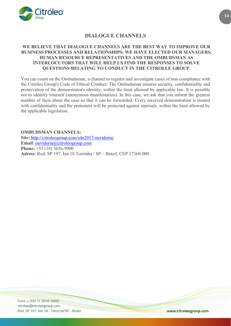

## **DIALOGUE CHANNELS**

## <span id="page-13-0"></span>**WE BELIEVE THAT DIALOGUE CHANNELS ARE THE BEST WAY TO IMPROVE OUR BUSINESS PROCESSES AND RELATIONSHIPS. WE HAVE ELECTED OUR MANAGERS, HUMAN RESOURCE REPRESENTATIVES AND THE OMBUDSMAN AS INTERLOCUTORS THAT WILL HELP US FIND THE RESPONSES TO SOLVE QUESTIONS RELATING TO CONDUCT IN THE CITROLLE GROUP.**

You can count on the Ombudsman, a channel to register and investigate cases of non-compliance with the Citróleo Group's Code of Ethical Conduct. The Ombudsman ensures security, confidentiality and preservation of the demonstrator's identity, within the limit allowed by applicable law. It is possible not to identify yourself (anonymous manifestation). In this case, we ask that you inform the greatest number of facts about the case so that it can be forwarded. Every received demonstration is treated with confidentiality and the protesters will be protected against reprisals, within the limit allowed by the applicable legislation.

**OMBUDSMAN CHANNELS:**

**Site:** <http://citroleogroup.com/site2017/ouvidoria/> **Email**: [ouvidoria@citroleogroup.com](mailto:ouvidoria@citroleogroup.com) **Phone:** +55 (14) 3656-9900 **Adress**: Rod. SP 197, km 18 Torrinha / SP – Brazil, CEP 17360-000

Fone: + (55) 14 3656-9900 citroleo@citroleogroup.com Rod. SP 197, Km 18 - Torrinha/SP - Brasil

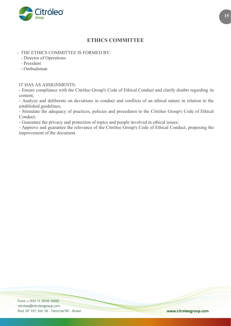

## **ETHICS COMMITTEE**

## <span id="page-14-0"></span>- THE ETHICS COMMITTEE IS FORMED BY:

- Director of Operations

- President
- Ombudsman

#### IT HAS AS ASSIGNMENTS:

- Ensure compliance with the Citróleo Group's Code of Ethical Conduct and clarify doubts regarding its content;

- Analyze and deliberate on deviations in conduct and conflicts of an ethical nature in relation to the established guidelines;

- Stimulate the adequacy of practices, policies and procedures to the Citróleo Group's Code of Ethical Conduct;

- Guarantee the privacy and protection of topics and people involved in ethical issues;

- Approve and guarantee the relevance of the Citróleo Group's Code of Ethical Conduct, proposing the improvement of the document.